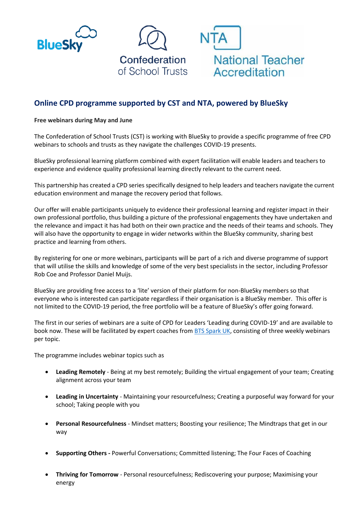



# **Online CPD programme supported by CST and NTA, powered by BlueSky**

**Free webinars during May and June**

The Confederation of School Trusts (CST) is working with BlueSky to provide a specific programme of free CPD webinars to schools and trusts as they navigate the challenges COVID-19 presents.

BlueSky professional learning platform combined with expert facilitation will enable leaders and teachers to experience and evidence quality professional learning directly relevant to the current need.

This partnership has created a CPD series specifically designed to help leaders and teachers navigate the current education environment and manage the recovery period that follows.

Our offer will enable participants uniquely to evidence their professional learning and register impact in their own professional portfolio, thus building a picture of the professional engagements they have undertaken and the relevance and impact it has had both on their own practice and the needs of their teams and schools. They will also have the opportunity to engage in wider networks within the BlueSky community, sharing best practice and learning from others.

By registering for one or more webinars, participants will be part of a rich and diverse programme of support that will utilise the skills and knowledge of some of the very best specialists in the sector, including Professor Rob Coe and Professor Daniel Muijs.

BlueSky are providing free access to a 'lite' version of their platform for non-BlueSky members so that everyone who is interested can participate regardless if their organisation is a BlueSky member. This offer is not limited to the COVID-19 period, the free portfolio will be a feature of BlueSky's offer going forward.

The first in our series of webinars are a suite of CPD for Leaders 'Leading during COVID-19' and are available to book now. These will be facilitated by expert coaches fro[m BTS Spark UK,](https://www.bts.com/en-gb/spark/index) consisting of three weekly webinars per topic.

The programme includes webinar topics such as

- **Leading Remotely** Being at my best remotely; Building the virtual engagement of your team; Creating alignment across your team
- **Leading in Uncertainty** Maintaining your resourcefulness; Creating a purposeful way forward for your school; Taking people with you
- **Personal Resourcefulness** Mindset matters; Boosting your resilience; The Mindtraps that get in our way
- **Supporting Others -** Powerful Conversations; Committed listening; The Four Faces of Coaching
- **Thriving for Tomorrow** Personal resourcefulness; Rediscovering your purpose; Maximising your energy